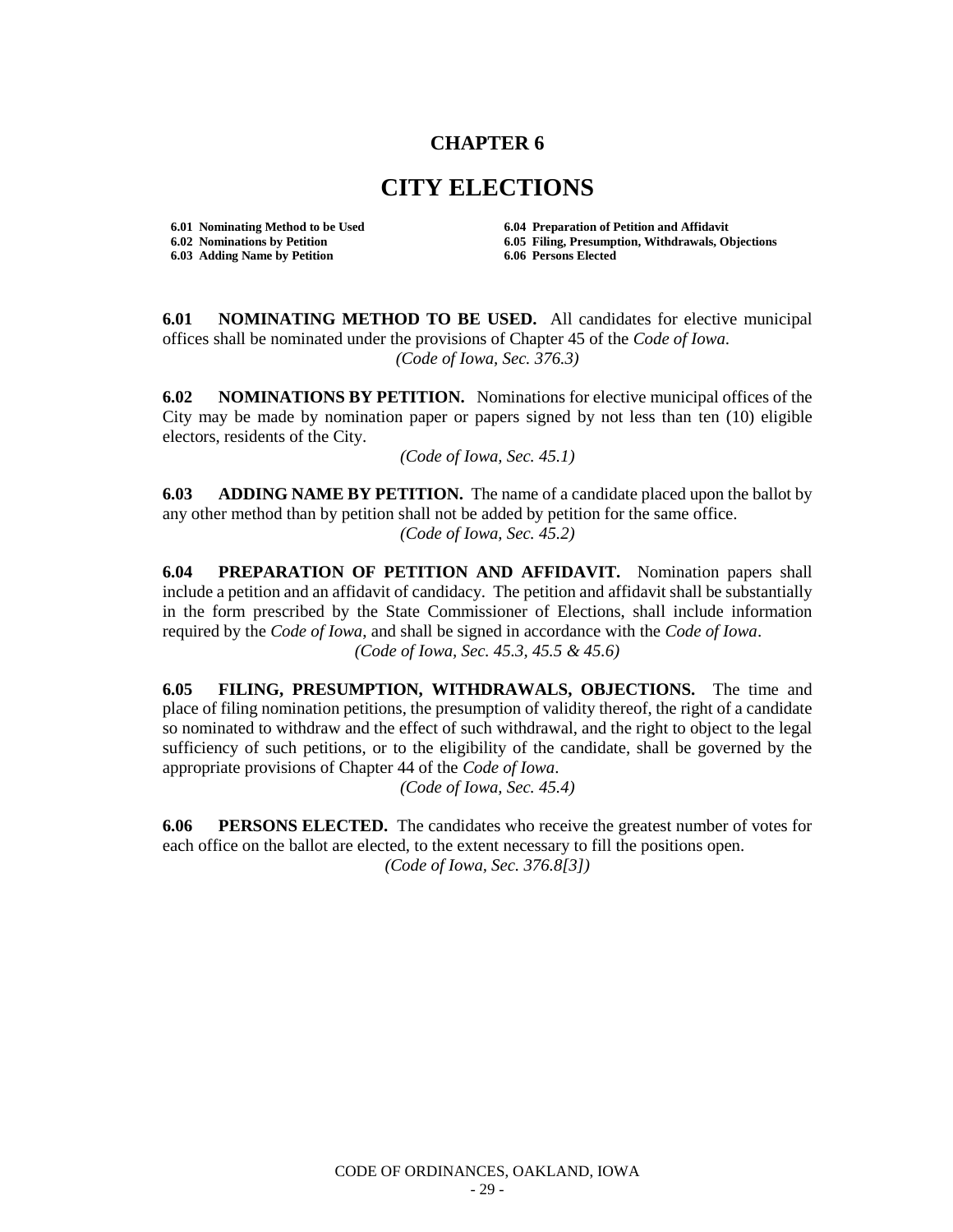## **CHAPTER 6**

## **CITY ELECTIONS**

**6.03 Adding Name by Petition 6.06 Persons Elected**

**6.01 Nominating Method to be Used 6.04 Preparation of Petition and Affidavit 6.02 Nominations by Petition 6.05 Filing, Presumption, Withdrawals, Objections**

**6.01 NOMINATING METHOD TO BE USED.** All candidates for elective municipal offices shall be nominated under the provisions of Chapter 45 of the *Code of Iowa*. *(Code of Iowa, Sec. 376.3)*

**6.02 NOMINATIONS BY PETITION.** Nominations for elective municipal offices of the City may be made by nomination paper or papers signed by not less than ten (10) eligible electors, residents of the City.

*(Code of Iowa, Sec. 45.1)*

**6.03 ADDING NAME BY PETITION.** The name of a candidate placed upon the ballot by any other method than by petition shall not be added by petition for the same office. *(Code of Iowa, Sec. 45.2)*

**6.04 PREPARATION OF PETITION AND AFFIDAVIT.** Nomination papers shall include a petition and an affidavit of candidacy. The petition and affidavit shall be substantially in the form prescribed by the State Commissioner of Elections, shall include information required by the *Code of Iowa*, and shall be signed in accordance with the *Code of Iowa*. *(Code of Iowa, Sec. 45.3, 45.5 & 45.6)*

**6.05 FILING, PRESUMPTION, WITHDRAWALS, OBJECTIONS.** The time and place of filing nomination petitions, the presumption of validity thereof, the right of a candidate so nominated to withdraw and the effect of such withdrawal, and the right to object to the legal sufficiency of such petitions, or to the eligibility of the candidate, shall be governed by the appropriate provisions of Chapter 44 of the *Code of Iowa*.

*(Code of Iowa, Sec. 45.4)*

**6.06 PERSONS ELECTED.** The candidates who receive the greatest number of votes for each office on the ballot are elected, to the extent necessary to fill the positions open. *(Code of Iowa, Sec. 376.8[3])*